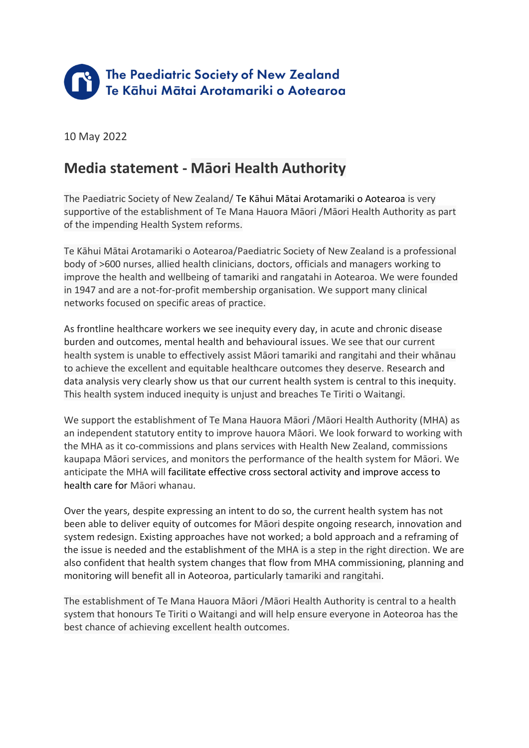

10 May 2022

## **Media statement - Māori Health Authority**

The Paediatric Society of New Zealand/ Te Kāhui Mātai Arotamariki o Aotearoa is very supportive of the establishment of Te Mana Hauora Māori /Māori Health Authority as part of the impending Health System reforms.

Te Kāhui Mātai Arotamariki o Aotearoa/Paediatric Society of New Zealand is a professional body of >600 nurses, allied health clinicians, doctors, officials and managers working to improve the health and wellbeing of tamariki and rangatahi in Aotearoa. We were founded in 1947 and are a not-for-profit membership organisation. We support many clinical networks focused on specific areas of practice.

As frontline healthcare workers we see inequity every day, in acute and chronic disease burden and outcomes, mental health and behavioural issues. We see that our current health system is unable to effectively assist Māori tamariki and rangitahi and their whānau to achieve the excellent and equitable healthcare outcomes they deserve. Research and data analysis very clearly show us that our current health system is central to this inequity. This health system induced inequity is unjust and breaches Te Tiriti o Waitangi.

We support the establishment of Te Mana Hauora Māori /Māori Health Authority (MHA) as an independent statutory entity to improve hauora Māori. We look forward to working with the MHA as it co-commissions and plans services with Health New Zealand, commissions kaupapa Māori services, and monitors the performance of the health system for Māori. We anticipate the MHA will facilitate effective cross sectoral activity and improve access to health care for Māori whanau.

Over the years, despite expressing an intent to do so, the current health system has not been able to deliver equity of outcomes for Māori despite ongoing research, innovation and system redesign. Existing approaches have not worked; a bold approach and a reframing of the issue is needed and the establishment of the MHA is a step in the right direction. We are also confident that health system changes that flow from MHA commissioning, planning and monitoring will benefit all in Aoteoroa, particularly tamariki and rangitahi.

The establishment of Te Mana Hauora Māori /Māori Health Authority is central to a health system that honours Te Tiriti o Waitangi and will help ensure everyone in Aoteoroa has the best chance of achieving excellent health outcomes.